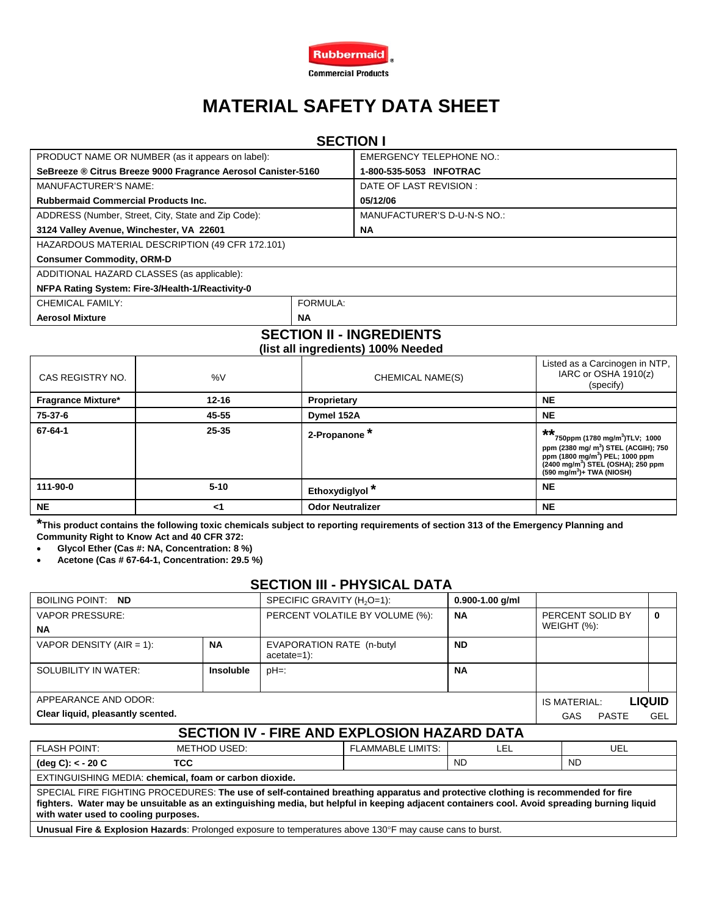

# **MATERIAL SAFETY DATA SHEET**

# **SECTION I**

| PRODUCT NAME OR NUMBER (as it appears on label):              |           | <b>EMERGENCY TELEPHONE NO.:</b> |  |  |
|---------------------------------------------------------------|-----------|---------------------------------|--|--|
| SeBreeze ® Citrus Breeze 9000 Fragrance Aerosol Canister-5160 |           | 1-800-535-5053 INFOTRAC         |  |  |
| <b>MANUFACTURER'S NAME:</b>                                   |           | DATE OF LAST REVISION :         |  |  |
| <b>Rubbermaid Commercial Products Inc.</b>                    |           | 05/12/06                        |  |  |
| ADDRESS (Number, Street, City, State and Zip Code):           |           | MANUFACTURER'S D-U-N-S NO.:     |  |  |
| 3124 Valley Avenue, Winchester, VA 22601                      |           | <b>NA</b>                       |  |  |
| HAZARDOUS MATERIAL DESCRIPTION (49 CFR 172.101)               |           |                                 |  |  |
| <b>Consumer Commodity, ORM-D</b>                              |           |                                 |  |  |
| ADDITIONAL HAZARD CLASSES (as applicable):                    |           |                                 |  |  |
| NFPA Rating System: Fire-3/Health-1/Reactivity-0              |           |                                 |  |  |
| CHEMICAL FAMILY:                                              | FORMULA:  |                                 |  |  |
| <b>Aerosol Mixture</b>                                        | <b>NA</b> |                                 |  |  |
|                                                               |           |                                 |  |  |

#### **SECTION II - INGREDIENTS (list all ingredients) 100% Needed**

| CAS REGISTRY NO.          | %V        | CHEMICAL NAME(S)           | Listed as a Carcinogen in NTP,<br>IARC or OSHA 1910(z)<br>(specify)                                                                                                                                                                                    |
|---------------------------|-----------|----------------------------|--------------------------------------------------------------------------------------------------------------------------------------------------------------------------------------------------------------------------------------------------------|
| <b>Fragrance Mixture*</b> | $12 - 16$ | Proprietary                | <b>NE</b>                                                                                                                                                                                                                                              |
| 75-37-6                   | 45-55     | Dymel 152A                 | <b>NE</b>                                                                                                                                                                                                                                              |
| 67-64-1                   | $25 - 35$ | 2-Propanone <sup>*</sup>   | $***$<br>750ppm (1780 mg/m <sup>3</sup> )TLV; 1000<br>ppm (2380 mg/ m <sup>3</sup> ) STEL (ACGIH); 750<br>ppm (1800 mg/m <sup>3</sup> ) PEL; 1000 ppm<br>(2400 mg/m <sup>3</sup> ) STEL (OSHA); 250 ppm<br>$(590 \text{ mg/m}^3) + \text{TWA}$ (NIOSH) |
| 111-90-0                  | $5 - 10$  | Ethoxydiglyol <sup>*</sup> | <b>NE</b>                                                                                                                                                                                                                                              |
| <b>NE</b>                 | <1        | <b>Odor Neutralizer</b>    | <b>NE</b>                                                                                                                                                                                                                                              |

**\*This product contains the following toxic chemicals subject to reporting requirements of section 313 of the Emergency Planning and Community Right to Know Act and 40 CFR 372:** 

• **Glycol Ether (Cas #: NA, Concentration: 8 %)** 

• **Acetone (Cas # 67-64-1, Concentration: 29.5 %)** 

### **SECTION III - PHYSICAL DATA**

| BOILING POINT: ND                                                                                                                                                                                                                                                                                                       |                     | SPECIFIC GRAVITY (H <sub>2</sub> O=1):     |                          | $0.900 - 1.00$ g/ml                 |                               |              |  |
|-------------------------------------------------------------------------------------------------------------------------------------------------------------------------------------------------------------------------------------------------------------------------------------------------------------------------|---------------------|--------------------------------------------|--------------------------|-------------------------------------|-------------------------------|--------------|--|
| <b>VAPOR PRESSURE:</b><br><b>NA</b>                                                                                                                                                                                                                                                                                     |                     | PERCENT VOLATILE BY VOLUME (%):            | <b>NA</b>                | PERCENT SOLID BY<br>WEIGHT $(\%)$ : |                               | $\mathbf{0}$ |  |
| VAPOR DENSITY (AIR = 1):                                                                                                                                                                                                                                                                                                | <b>NA</b>           | EVAPORATION RATE (n-butyl<br>$acetate=1$ : |                          | <b>ND</b>                           |                               |              |  |
| SOLUBILITY IN WATER:                                                                                                                                                                                                                                                                                                    | <b>Insoluble</b>    | pH=:                                       |                          | <b>NA</b>                           |                               |              |  |
| APPEARANCE AND ODOR:                                                                                                                                                                                                                                                                                                    |                     |                                            |                          |                                     | <b>LIQUID</b><br>IS MATERIAL: |              |  |
| Clear liquid, pleasantly scented.                                                                                                                                                                                                                                                                                       |                     |                                            |                          | <b>GAS</b>                          | <b>PASTE</b>                  | <b>GEL</b>   |  |
| SECTION IV - FIRE AND EXPLOSION HAZARD DATA                                                                                                                                                                                                                                                                             |                     |                                            |                          |                                     |                               |              |  |
| <b>FLASH POINT:</b>                                                                                                                                                                                                                                                                                                     | <b>METHOD USED:</b> |                                            | <b>FLAMMABLE LIMITS:</b> | LEL                                 |                               | UEL          |  |
| <b>TCC</b><br>$(\text{deg } C): < -20 C$                                                                                                                                                                                                                                                                                |                     |                                            |                          | <b>ND</b>                           | <b>ND</b>                     |              |  |
| EXTINGUISHING MEDIA: chemical, foam or carbon dioxide.                                                                                                                                                                                                                                                                  |                     |                                            |                          |                                     |                               |              |  |
| SPECIAL FIRE FIGHTING PROCEDURES: The use of self-contained breathing apparatus and protective clothing is recommended for fire<br>fighters. Water may be unsuitable as an extinguishing media, but helpful in keeping adjacent containers cool. Avoid spreading burning liquid<br>with water used to cooling purposes. |                     |                                            |                          |                                     |                               |              |  |

**Unusual Fire & Explosion Hazards**: Prolonged exposure to temperatures above 130°F may cause cans to burst.